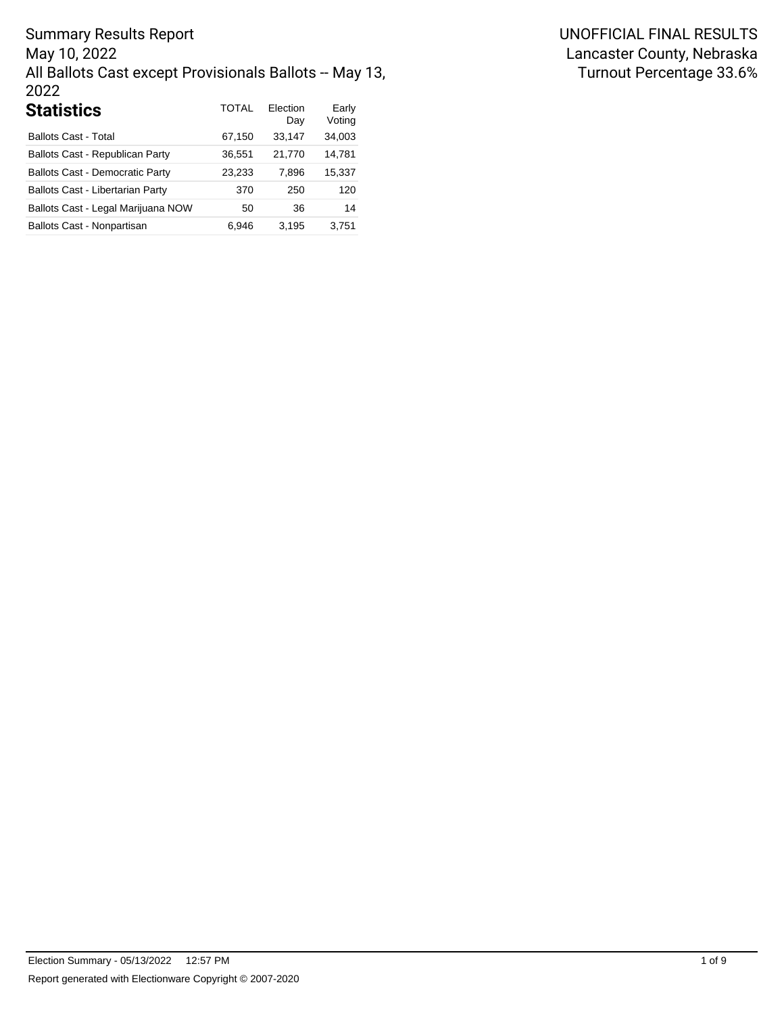Summary Results Report May 10, 2022 All Ballots Cast except Provisionals Ballots -- May 13, 2022

| <b>Statistics</b>                      | <b>TOTAL</b> | Election<br>Day | Early<br>Voting |
|----------------------------------------|--------------|-----------------|-----------------|
| <b>Ballots Cast - Total</b>            | 67,150       | 33,147          | 34,003          |
| Ballots Cast - Republican Party        | 36,551       | 21,770          | 14,781          |
| <b>Ballots Cast - Democratic Party</b> | 23,233       | 7,896           | 15,337          |
| Ballots Cast - Libertarian Party       | 370          | 250             | 120             |
| Ballots Cast - Legal Marijuana NOW     | 50           | 36              | 14              |
| Ballots Cast - Nonpartisan             | 6.946        | 3,195           | 3.751           |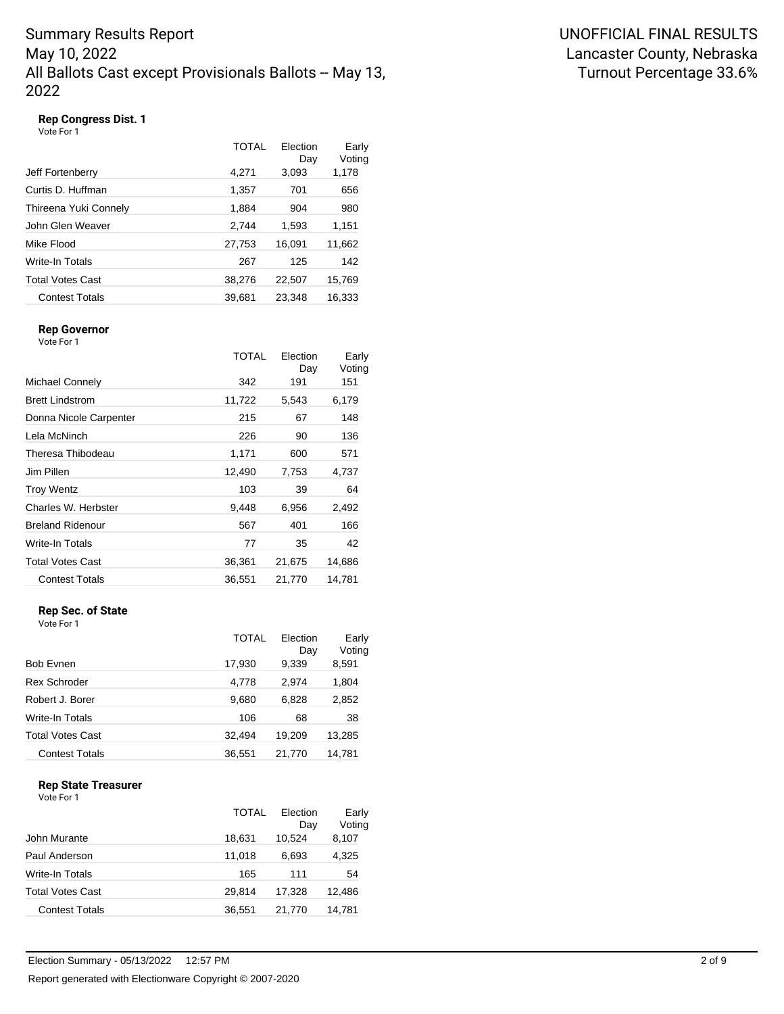# Summary Results Report May 10, 2022 All Ballots Cast except Provisionals Ballots -- May 13, 2022

### **Rep Congress Dist. 1**

Vote For 1

|                         | TOTAL  | Election<br>Day | Early<br>Voting |
|-------------------------|--------|-----------------|-----------------|
| Jeff Fortenberry        | 4,271  | 3,093           | 1,178           |
| Curtis D. Huffman       | 1,357  | 701             | 656             |
| Thireena Yuki Connely   | 1,884  | 904             | 980             |
| John Glen Weaver        | 2,744  | 1,593           | 1,151           |
| Mike Flood              | 27,753 | 16,091          | 11,662          |
| Write-In Totals         | 267    | 125             | 142             |
| <b>Total Votes Cast</b> | 38,276 | 22,507          | 15,769          |
| <b>Contest Totals</b>   | 39,681 | 23,348          | 16,333          |

### **Rep Governor**

Vote For 1

|                         | TOTAL  | Election<br>Day | Early<br>Voting |
|-------------------------|--------|-----------------|-----------------|
| Michael Connely         | 342    | 191             | 151             |
| <b>Brett Lindstrom</b>  | 11,722 | 5,543           | 6,179           |
| Donna Nicole Carpenter  | 215    | 67              | 148             |
| Lela McNinch            | 226    | 90              | 136             |
| Theresa Thibodeau       | 1,171  | 600             | 571             |
| Jim Pillen              | 12,490 | 7,753           | 4,737           |
| <b>Troy Wentz</b>       | 103    | 39              | 64              |
| Charles W. Herbster     | 9,448  | 6,956           | 2,492           |
| <b>Breland Ridenour</b> | 567    | 401             | 166             |
| Write-In Totals         | 77     | 35              | 42              |
| <b>Total Votes Cast</b> | 36,361 | 21,675          | 14,686          |
| <b>Contest Totals</b>   | 36,551 | 21,770          | 14,781          |
|                         |        |                 |                 |

### **Rep Sec. of State**

Vote For 1

|                       | TOTAL  | Election<br>Day | Early<br>Voting |
|-----------------------|--------|-----------------|-----------------|
| Bob Evnen             | 17,930 | 9,339           | 8,591           |
| Rex Schroder          | 4,778  | 2.974           | 1,804           |
| Robert J. Borer       | 9,680  | 6,828           | 2,852           |
| Write-In Totals       | 106    | 68              | 38              |
| Total Votes Cast      | 32,494 | 19,209          | 13,285          |
| <b>Contest Totals</b> | 36,551 | 21,770          | 14,781          |

### **Rep State Treasurer**

| Vote For 1 |  |
|------------|--|
|            |  |

|                         | TOTAL  | Flection<br>Day | Early<br>Voting |
|-------------------------|--------|-----------------|-----------------|
| John Murante            | 18,631 | 10.524          | 8,107           |
| Paul Anderson           | 11,018 | 6.693           | 4,325           |
| Write-In Totals         | 165    | 111             | 54              |
| <b>Total Votes Cast</b> | 29.814 | 17,328          | 12,486          |
| <b>Contest Totals</b>   | 36.551 | 21.770          | 14,781          |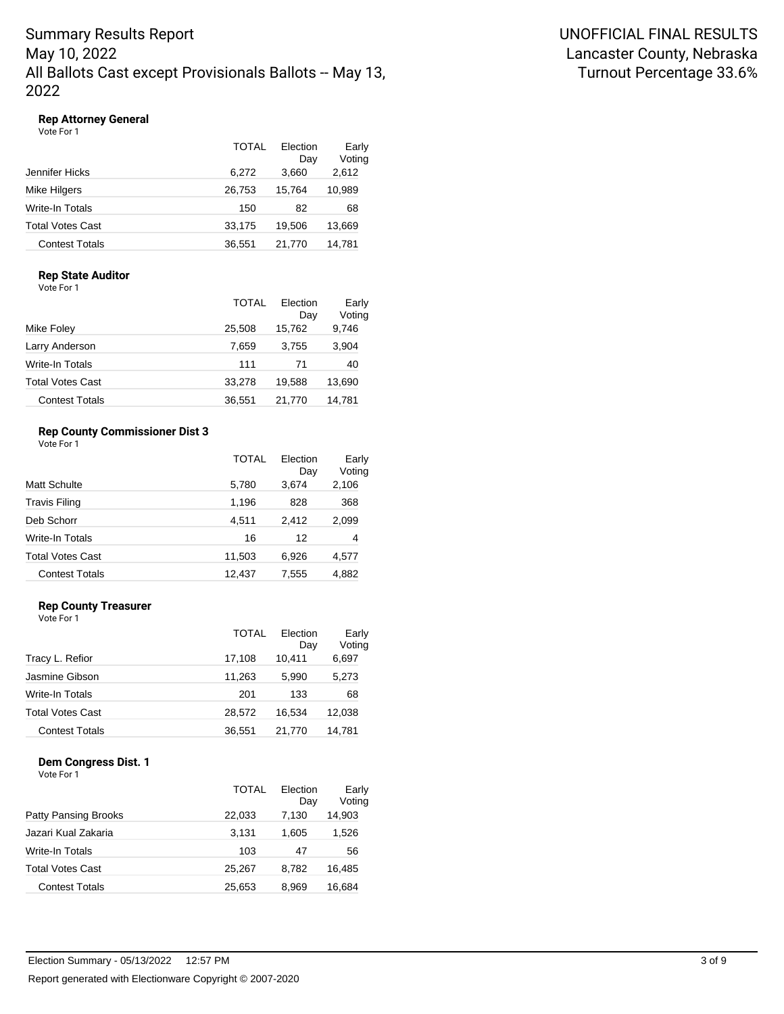### **Rep Attorney General**

Vote For 1

|                         | TOTAL  | Election<br>Day | Early<br>Voting |
|-------------------------|--------|-----------------|-----------------|
| Jennifer Hicks          | 6.272  | 3,660           | 2,612           |
| Mike Hilgers            | 26,753 | 15,764          | 10,989          |
| Write-In Totals         | 150    | 82              | 68              |
| <b>Total Votes Cast</b> | 33.175 | 19.506          | 13,669          |
| <b>Contest Totals</b>   | 36.551 | 21.770          | 14,781          |

### **Rep State Auditor**

Vote For 1

|                         | <b>TOTAL</b> | Election<br>Day | Early<br>Voting |
|-------------------------|--------------|-----------------|-----------------|
| Mike Foley              | 25,508       | 15,762          | 9,746           |
| Larry Anderson          | 7,659        | 3,755           | 3,904           |
| <b>Write-In Totals</b>  | 111          | 71              | 40              |
| <b>Total Votes Cast</b> | 33,278       | 19,588          | 13,690          |
| <b>Contest Totals</b>   | 36,551       | 21.770          | 14,781          |

### **Rep County Commissioner Dist 3**

Vote For 1

|                         | TOTAL  | Flection<br>Day | Early<br>Voting |
|-------------------------|--------|-----------------|-----------------|
| <b>Matt Schulte</b>     | 5,780  | 3,674           | 2,106           |
| <b>Travis Filing</b>    | 1,196  | 828             | 368             |
| Deb Schorr              | 4,511  | 2,412           | 2,099           |
| Write-In Totals         | 16     | 12              | 4               |
| <b>Total Votes Cast</b> | 11,503 | 6.926           | 4,577           |
| <b>Contest Totals</b>   | 12,437 | 7,555           | 4,882           |

### **Rep County Treasurer**

Vote For 1

|                         | TOTAL  | Election<br>Day | Early<br>Voting |
|-------------------------|--------|-----------------|-----------------|
| Tracy L. Refior         | 17,108 | 10,411          | 6,697           |
| Jasmine Gibson          | 11,263 | 5.990           | 5,273           |
| Write-In Totals         | 201    | 133             | 68              |
| <b>Total Votes Cast</b> | 28.572 | 16.534          | 12,038          |
| <b>Contest Totals</b>   | 36,551 | 21.770          | 14,781          |

# **Dem Congress Dist. 1**

|                             | TOTAL  | Election<br>Day | Early<br>Voting |
|-----------------------------|--------|-----------------|-----------------|
| <b>Patty Pansing Brooks</b> | 22,033 | 7,130           | 14,903          |
| Jazari Kual Zakaria         | 3.131  | 1.605           | 1,526           |
| <b>Write-In Totals</b>      | 103    | 47              | 56              |
| <b>Total Votes Cast</b>     | 25.267 | 8.782           | 16.485          |
| <b>Contest Totals</b>       | 25.653 | 8.969           | 16.684          |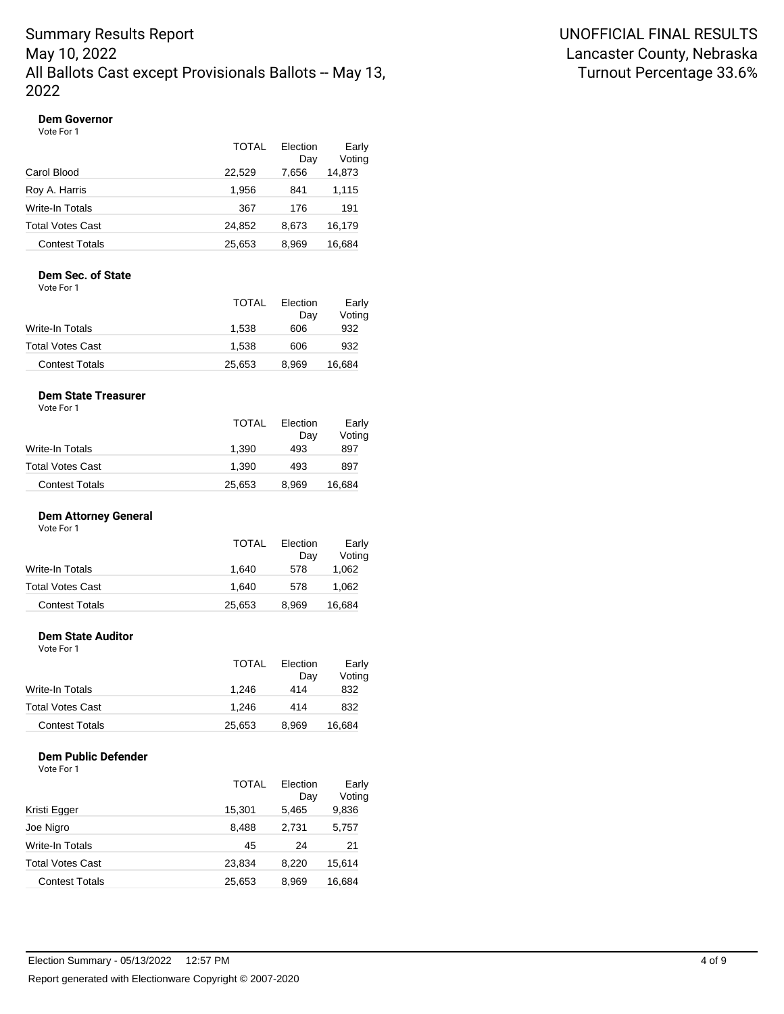#### **Dem Governor**

Vote For 1

|                         | TOTAL  | Election<br>Dav | Early<br>Voting |
|-------------------------|--------|-----------------|-----------------|
| Carol Blood             | 22.529 | 7.656           | 14,873          |
| Roy A. Harris           | 1.956  | 841             | 1,115           |
| Write-In Totals         | 367    | 176             | 191             |
| <b>Total Votes Cast</b> | 24.852 | 8.673           | 16,179          |
| <b>Contest Totals</b>   | 25,653 | 8.969           | 16.684          |

## **Dem Sec. of State**

Vote For 1

|                         | TOTAL  | Election<br>Dav | Early<br>Voting |
|-------------------------|--------|-----------------|-----------------|
| Write-In Totals         | 1.538  | 606             | 932             |
| <b>Total Votes Cast</b> | 1.538  | 606             | 932             |
| <b>Contest Totals</b>   | 25.653 | 8.969           | 16.684          |

### **Dem State Treasurer**

Vote For 1

|                         | <b>TOTAL</b> | Election<br>Dav | Early<br>Voting |
|-------------------------|--------------|-----------------|-----------------|
| Write-In Totals         | 1.390        | 493             | 897             |
| <b>Total Votes Cast</b> | 1.390        | 493             | 897             |
| <b>Contest Totals</b>   | 25,653       | 8.969           | 16.684          |

### **Dem Attorney General**

Vote For 1

|                         | <b>TOTAL</b> | Election | Early  |
|-------------------------|--------------|----------|--------|
|                         |              | Dav      | Voting |
| Write-In Totals         | 1.640        | 578      | 1.062  |
| <b>Total Votes Cast</b> | 1.640        | 578      | 1.062  |
| <b>Contest Totals</b>   | 25,653       | 8.969    | 16,684 |

#### **Dem State Auditor**

| Vote For 1              |              |                 |                 |
|-------------------------|--------------|-----------------|-----------------|
|                         | <b>TOTAL</b> | Election<br>Day | Early<br>Voting |
| Write-In Totals         | 1.246        | 414             | 832             |
| <b>Total Votes Cast</b> | 1.246        | 414             | 832             |
| <b>Contest Totals</b>   | 25,653       | 8.969           | 16,684          |

### **Dem Public Defender**

|                         | TOTAL  | Flection<br>Day | Early<br>Voting |
|-------------------------|--------|-----------------|-----------------|
| Kristi Egger            | 15,301 | 5,465           | 9,836           |
| Joe Nigro               | 8,488  | 2,731           | 5,757           |
| Write-In Totals         | 45     | 24              | 21              |
| <b>Total Votes Cast</b> | 23,834 | 8,220           | 15,614          |
| <b>Contest Totals</b>   | 25,653 | 8,969           | 16,684          |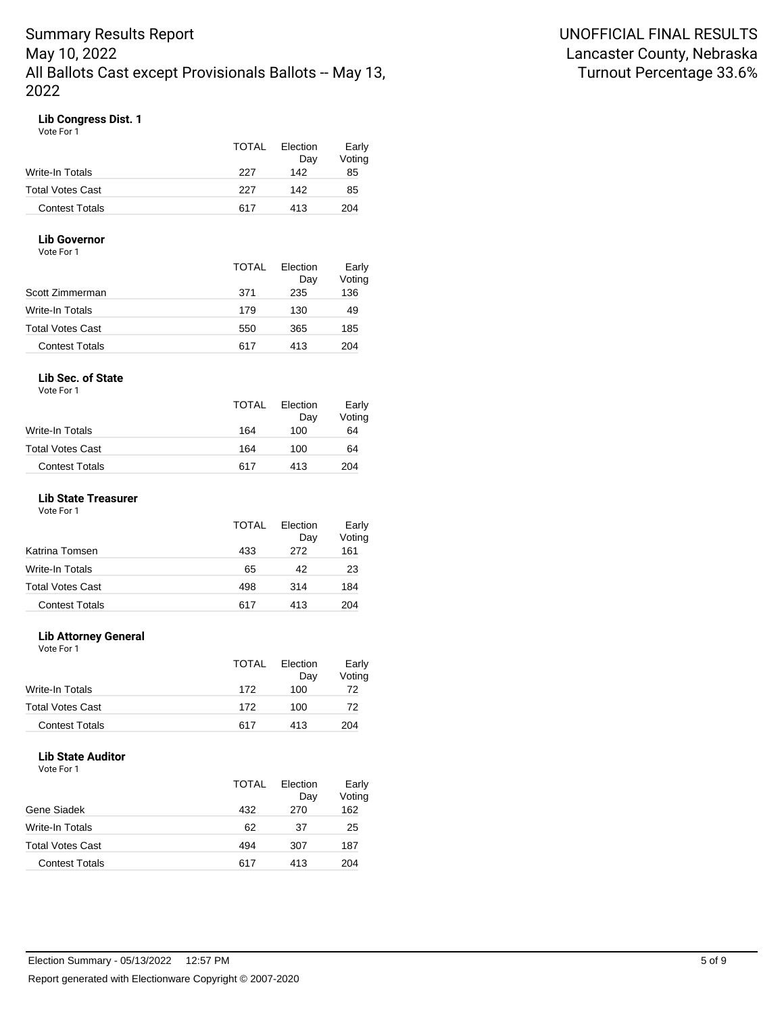### **Lib Congress Dist. 1**

Vote For 1

|                         | <b>TOTAL</b> | Election<br>Dav | Early<br>Voting |
|-------------------------|--------------|-----------------|-----------------|
| Write-In Totals         | 227          | 142             | 85              |
| <b>Total Votes Cast</b> | 227          | 142             | 85              |
| <b>Contest Totals</b>   | 617          | 413             | 204             |

### **Lib Governor**

| Vote For |  |
|----------|--|
|          |  |

|                       | <b>TOTAL</b> | Election<br>Day | Early<br>Voting |
|-----------------------|--------------|-----------------|-----------------|
| Scott Zimmerman       | 371          | 235             | 136             |
| Write-In Totals       | 179          | 130             | 49              |
| Total Votes Cast      | 550          | 365             | 185             |
| <b>Contest Totals</b> | 617          | 413             | 204             |

#### **Lib Sec. of State**

Vote For 1

|                       | <b>TOTAL</b> | Election<br>Dav | Early<br>Voting |
|-----------------------|--------------|-----------------|-----------------|
| Write-In Totals       | 164          | 100             | 64              |
| Total Votes Cast      | 164          | 100             | 64              |
| <b>Contest Totals</b> | 617          | 413             | 204             |

### **Lib State Treasurer**

Vote For 1

|                         | <b>TOTAL</b> | Election<br>Day | Early<br>Voting |
|-------------------------|--------------|-----------------|-----------------|
| Katrina Tomsen          | 433          | 272             | 161             |
| Write-In Totals         | 65           | 42              | 23              |
| <b>Total Votes Cast</b> | 498          | 314             | 184             |
| <b>Contest Totals</b>   | 617          | 413             | 204             |

#### **Lib Attorney General**

| Vote For 1              |              |                 |                 |
|-------------------------|--------------|-----------------|-----------------|
|                         | <b>TOTAL</b> | Election<br>Day | Early<br>Voting |
| Write-In Totals         | 172          | 100             | 72              |
| <b>Total Votes Cast</b> | 172          | 100             | 72              |
| <b>Contest Totals</b>   | 617          | 413             | 204             |

#### **Lib State Auditor**

|                         | TOTAL | Election<br>Day | Early<br>Voting |
|-------------------------|-------|-----------------|-----------------|
| Gene Siadek             | 432   | 270             | 162             |
| Write-In Totals         | 62    | 37              | 25              |
| <b>Total Votes Cast</b> | 494   | 307             | 187             |
| <b>Contest Totals</b>   | 617   | 413             | 204             |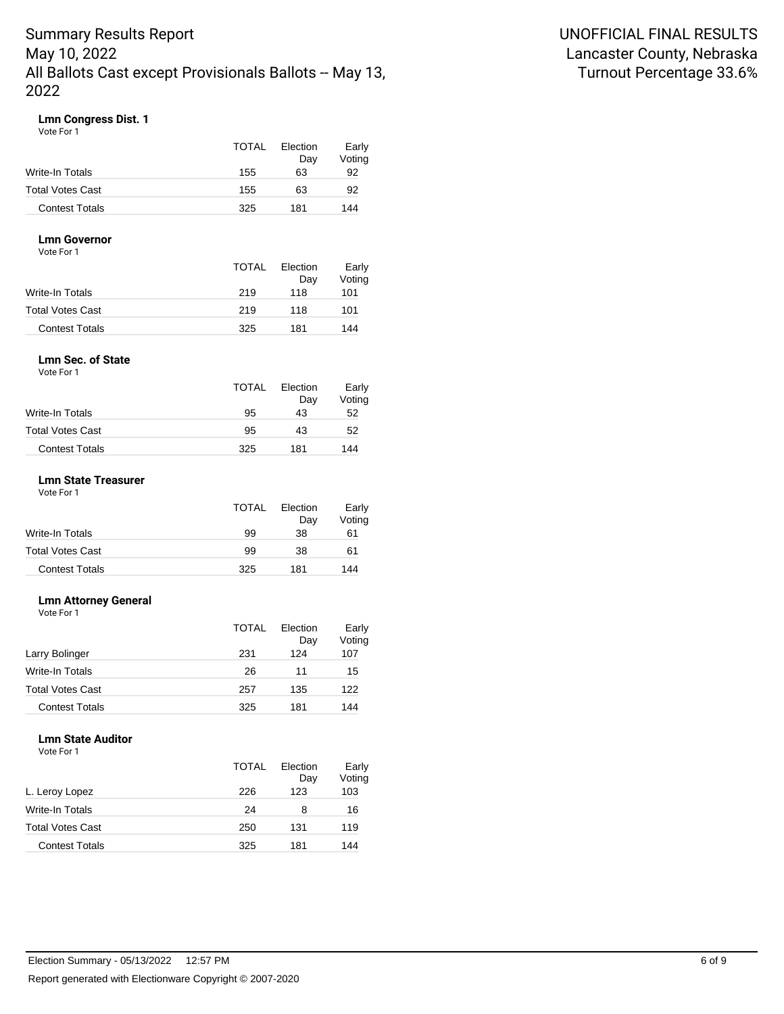### **Lmn Congress Dist. 1**

Vote For 1

|                         | <b>TOTAL</b> | Election<br>Dav | Early<br>Voting |
|-------------------------|--------------|-----------------|-----------------|
| Write-In Totals         | 155          | 63              | 92              |
| <b>Total Votes Cast</b> | 155          | 63              | 92              |
| <b>Contest Totals</b>   | 325          | 181             | 144             |

#### **Lmn Governor** Vote For 1

| 1 IU I V                |              |                 |                 |
|-------------------------|--------------|-----------------|-----------------|
|                         | <b>TOTAL</b> | Election<br>Day | Early<br>Voting |
| Write-In Totals         | 219          | 118             | 101             |
| <b>Total Votes Cast</b> | 219          | 118             | 101             |
| <b>Contest Totals</b>   | 325          | 181             | 144             |

#### **Lmn Sec. of State** Vote For 1

| <b>TOTAL</b> | Election<br>Day | Early<br>Voting |
|--------------|-----------------|-----------------|
| 95           | 43              | 52              |
| 95           | 43              | 52              |
| 325          | 181             | 144             |
|              |                 |                 |

#### **Lmn State Treasurer**

Vote For 1

|                         | <b>TOTAL</b> | Election<br>Day | Early<br>Voting |
|-------------------------|--------------|-----------------|-----------------|
| Write-In Totals         | 99           | 38              | 61              |
| <b>Total Votes Cast</b> | 99           | 38              | 61              |
| <b>Contest Totals</b>   | 325          | 181             | 144             |

### **Lmn Attorney General**

Vote For 1

|                         | TOTAL | Election<br>Day | Early<br>Voting |
|-------------------------|-------|-----------------|-----------------|
| Larry Bolinger          | 231   | 124             | 107             |
| <b>Write-In Totals</b>  | 26    | 11              | 15              |
| <b>Total Votes Cast</b> | 257   | 135             | 122             |
| <b>Contest Totals</b>   | 325   | 181             | 144             |

## **Lmn State Auditor**

|                         | <b>TOTAL</b> | Election<br>Day | Early<br>Voting |
|-------------------------|--------------|-----------------|-----------------|
| L. Leroy Lopez          | 226          | 123             | 103             |
| Write-In Totals         | 24           | 8               | 16              |
| <b>Total Votes Cast</b> | 250          | 131             | 119             |
| <b>Contest Totals</b>   | 325          | 181             | 144             |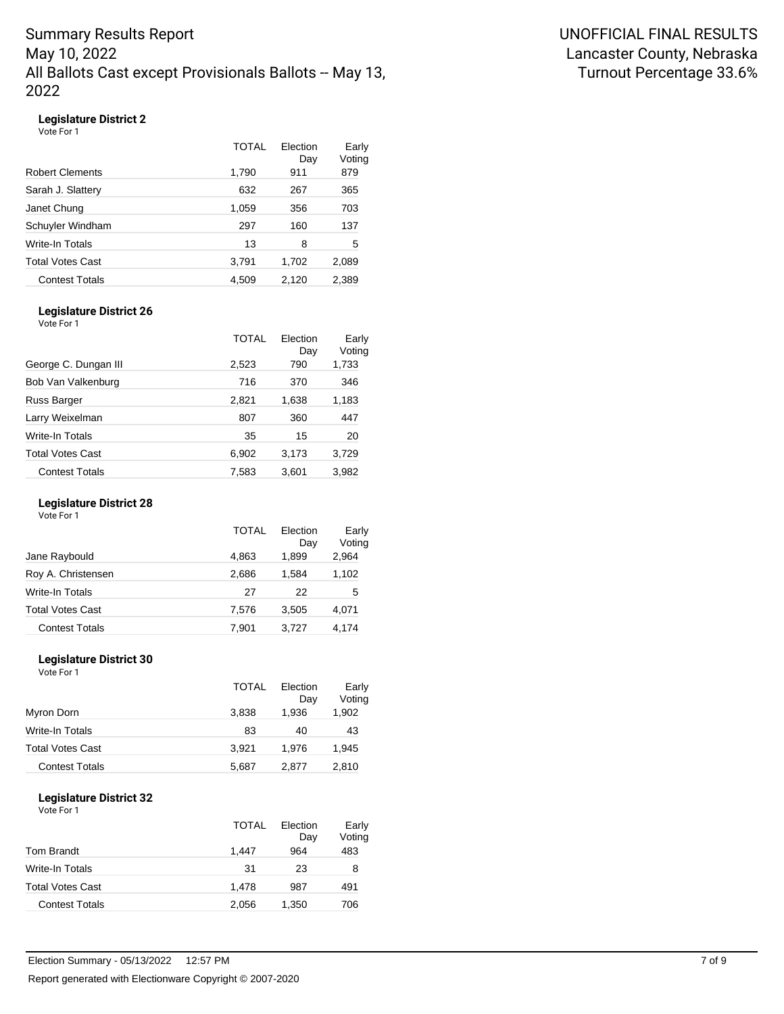## **Legislature District 2**

Vote For 1

|                         | TOTAL | Election<br>Day | Early<br>Voting |
|-------------------------|-------|-----------------|-----------------|
| <b>Robert Clements</b>  | 1,790 | 911             | 879             |
| Sarah J. Slattery       | 632   | 267             | 365             |
| Janet Chung             | 1,059 | 356             | 703             |
| Schuyler Windham        | 297   | 160             | 137             |
| <b>Write-In Totals</b>  | 13    | 8               | 5               |
| <b>Total Votes Cast</b> | 3,791 | 1,702           | 2,089           |
| <b>Contest Totals</b>   | 4,509 | 2,120           | 2,389           |
|                         |       |                 |                 |

#### **Legislature District 26**

Vote For 1

|                       | TOTAL | Election<br>Day | Early<br>Voting |
|-----------------------|-------|-----------------|-----------------|
| George C. Dungan III  | 2,523 | 790             | 1,733           |
| Bob Van Valkenburg    | 716   | 370             | 346             |
| Russ Barger           | 2,821 | 1,638           | 1,183           |
| Larry Weixelman       | 807   | 360             | 447             |
| Write-In Totals       | 35    | 15              | 20              |
| Total Votes Cast      | 6,902 | 3,173           | 3,729           |
| <b>Contest Totals</b> | 7,583 | 3,601           | 3,982           |

#### **Legislature District 28**

Vote For 1

|                         | TOTAL | Election<br>Day | Early<br>Voting |
|-------------------------|-------|-----------------|-----------------|
| Jane Raybould           | 4.863 | 1.899           | 2,964           |
| Roy A. Christensen      | 2,686 | 1.584           | 1,102           |
| Write-In Totals         | 27    | 22              | 5               |
| <b>Total Votes Cast</b> | 7,576 | 3,505           | 4,071           |
| <b>Contest Totals</b>   | 7,901 | 3,727           | 4,174           |

### **Legislature District 30**

Vote For 1

|                       | <b>TOTAL</b> | Election<br>Day | Early<br>Voting |
|-----------------------|--------------|-----------------|-----------------|
| Myron Dorn            | 3,838        | 1,936           | 1,902           |
| Write-In Totals       | 83           | 40              | 43              |
| Total Votes Cast      | 3.921        | 1.976           | 1,945           |
| <b>Contest Totals</b> | 5,687        | 2,877           | 2,810           |

### **Legislature District 32**

|                         | TOTAL | Election<br>Day | Early<br>Voting |
|-------------------------|-------|-----------------|-----------------|
| <b>Tom Brandt</b>       | 1.447 | 964             | 483             |
| Write-In Totals         | 31    | 23              | 8               |
| <b>Total Votes Cast</b> | 1.478 | 987             | 491             |
| <b>Contest Totals</b>   | 2,056 | 1,350           | 706             |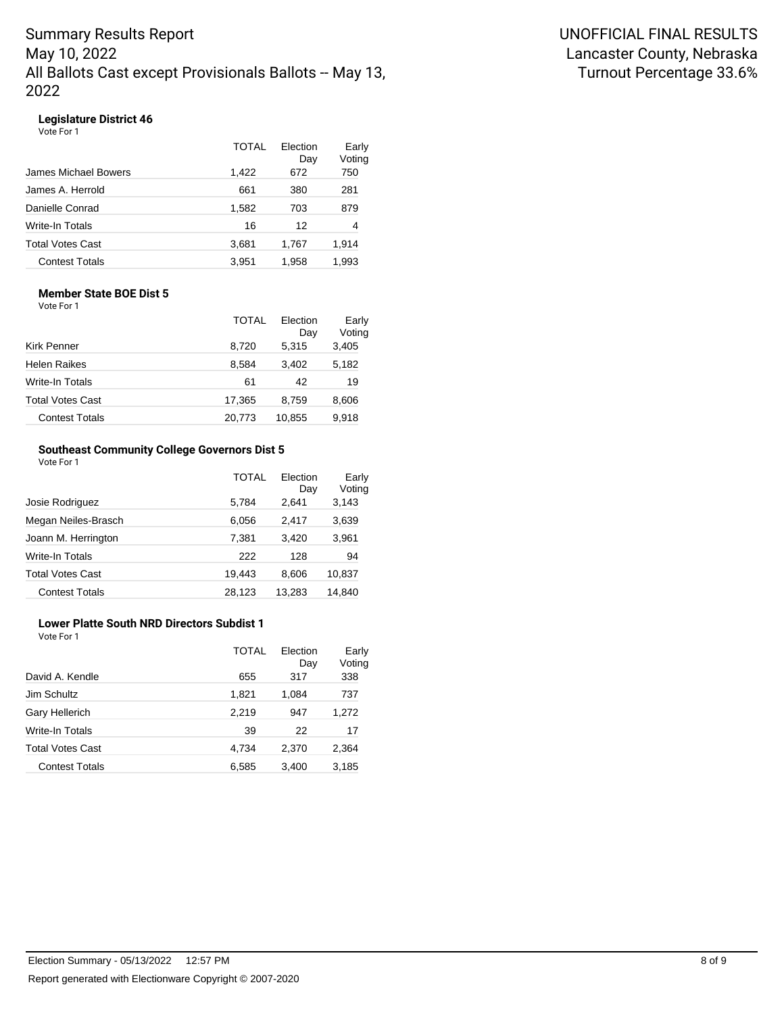### **Legislature District 46**

Vote For 1

|                         | TOTAI | Election<br>Day | Early<br>Voting |
|-------------------------|-------|-----------------|-----------------|
| James Michael Bowers    | 1.422 | 672             | 750             |
| James A. Herrold        | 661   | 380             | 281             |
| Danielle Conrad         | 1,582 | 703             | 879             |
| Write-In Totals         | 16    | 12              | 4               |
| <b>Total Votes Cast</b> | 3,681 | 1,767           | 1,914           |
| <b>Contest Totals</b>   | 3.951 | 1.958           | 1.993           |

#### **Member State BOE Dist 5** Vote For 1

|                         | TOTAL  | Election<br>Day | Early<br>Voting |
|-------------------------|--------|-----------------|-----------------|
| Kirk Penner             | 8,720  | 5,315           | 3,405           |
| <b>Helen Raikes</b>     | 8.584  | 3,402           | 5,182           |
| Write-In Totals         | 61     | 42              | 19              |
| <b>Total Votes Cast</b> | 17,365 | 8,759           | 8,606           |
| <b>Contest Totals</b>   | 20,773 | 10,855          | 9,918           |

### **Southeast Community College Governors Dist 5**

| Vote For 1 |
|------------|
|------------|

|                         | TOTAL  | Election<br>Day | Early<br>Voting |
|-------------------------|--------|-----------------|-----------------|
| Josie Rodriguez         | 5.784  | 2.641           | 3,143           |
| Megan Neiles-Brasch     | 6,056  | 2,417           | 3,639           |
| Joann M. Herrington     | 7,381  | 3,420           | 3,961           |
| Write-In Totals         | 222    | 128             | 94              |
| <b>Total Votes Cast</b> | 19.443 | 8.606           | 10,837          |
| <b>Contest Totals</b>   | 28,123 | 13,283          | 14,840          |

## **Lower Platte South NRD Directors Subdist 1**

|                         | TOTAL | Election<br>Day | Early<br>Voting |
|-------------------------|-------|-----------------|-----------------|
| David A. Kendle         | 655   | 317             | 338             |
| Jim Schultz             | 1,821 | 1,084           | 737             |
| Gary Hellerich          | 2,219 | 947             | 1,272           |
| Write-In Totals         | 39    | 22              | 17              |
| <b>Total Votes Cast</b> | 4,734 | 2,370           | 2,364           |
| <b>Contest Totals</b>   | 6,585 | 3,400           | 3,185           |